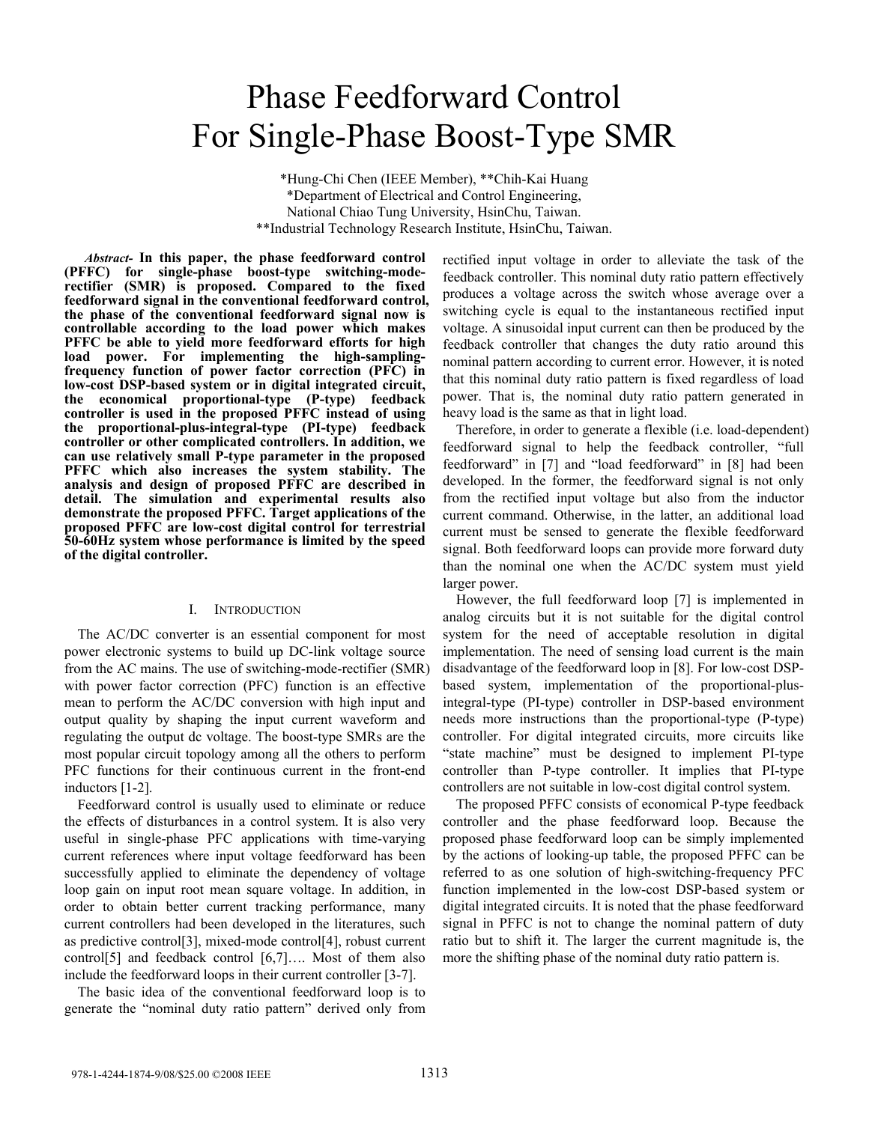# Phase Feedforward Control For Single-Phase Boost-Type SMR

\*Hung-Chi Chen (IEEE Member), \*\*Chih-Kai Huang \*Department of Electrical and Control Engineering, National Chiao Tung University, HsinChu, Taiwan. \*\*Industrial Technology Research Institute, HsinChu, Taiwan.

*Abstract-* **In this paper, the phase feedforward control (PFFC) for single-phase boost-type switching-moderectifier (SMR) is proposed. Compared to the fixed feedforward signal in the conventional feedforward control, the phase of the conventional feedforward signal now is controllable according to the load power which makes PFFC be able to yield more feedforward efforts for high load power. For implementing the high-samplingfrequency function of power factor correction (PFC) in low-cost DSP-based system or in digital integrated circuit, the economical proportional-type (P-type) feedback controller is used in the proposed PFFC instead of using the proportional-plus-integral-type (PI-type) feedback controller or other complicated controllers. In addition, we can use relatively small P-type parameter in the proposed PFFC which also increases the system stability. The analysis and design of proposed PFFC are described in detail. The simulation and experimental results also demonstrate the proposed PFFC. Target applications of the proposed PFFC are low-cost digital control for terrestrial 50-60Hz system whose performance is limited by the speed of the digital controller.**

# I. INTRODUCTION

The AC/DC converter is an essential component for most power electronic systems to build up DC-link voltage source from the AC mains. The use of switching-mode-rectifier (SMR) with power factor correction (PFC) function is an effective mean to perform the AC/DC conversion with high input and output quality by shaping the input current waveform and regulating the output dc voltage. The boost-type SMRs are the most popular circuit topology among all the others to perform PFC functions for their continuous current in the front-end inductors [1-2].

Feedforward control is usually used to eliminate or reduce the effects of disturbances in a control system. It is also very useful in single-phase PFC applications with time-varying current references where input voltage feedforward has been successfully applied to eliminate the dependency of voltage loop gain on input root mean square voltage. In addition, in order to obtain better current tracking performance, many current controllers had been developed in the literatures, such as predictive control[3], mixed-mode control[4], robust current control[5] and feedback control [6,7]…. Most of them also include the feedforward loops in their current controller [3-7].

The basic idea of the conventional feedforward loop is to generate the "nominal duty ratio pattern" derived only from rectified input voltage in order to alleviate the task of the feedback controller. This nominal duty ratio pattern effectively produces a voltage across the switch whose average over a switching cycle is equal to the instantaneous rectified input voltage. A sinusoidal input current can then be produced by the feedback controller that changes the duty ratio around this nominal pattern according to current error. However, it is noted that this nominal duty ratio pattern is fixed regardless of load power. That is, the nominal duty ratio pattern generated in heavy load is the same as that in light load.

Therefore, in order to generate a flexible (i.e. load-dependent) feedforward signal to help the feedback controller, "full feedforward" in [7] and "load feedforward" in [8] had been developed. In the former, the feedforward signal is not only from the rectified input voltage but also from the inductor current command. Otherwise, in the latter, an additional load current must be sensed to generate the flexible feedforward signal. Both feedforward loops can provide more forward duty than the nominal one when the AC/DC system must yield larger power.

However, the full feedforward loop [7] is implemented in analog circuits but it is not suitable for the digital control system for the need of acceptable resolution in digital implementation. The need of sensing load current is the main disadvantage of the feedforward loop in [8]. For low-cost DSPbased system, implementation of the proportional-plusintegral-type (PI-type) controller in DSP-based environment needs more instructions than the proportional-type (P-type) controller. For digital integrated circuits, more circuits like "state machine" must be designed to implement PI-type controller than P-type controller. It implies that PI-type controllers are not suitable in low-cost digital control system.

The proposed PFFC consists of economical P-type feedback controller and the phase feedforward loop. Because the proposed phase feedforward loop can be simply implemented by the actions of looking-up table, the proposed PFFC can be referred to as one solution of high-switching-frequency PFC function implemented in the low-cost DSP-based system or digital integrated circuits. It is noted that the phase feedforward signal in PFFC is not to change the nominal pattern of duty ratio but to shift it. The larger the current magnitude is, the more the shifting phase of the nominal duty ratio pattern is.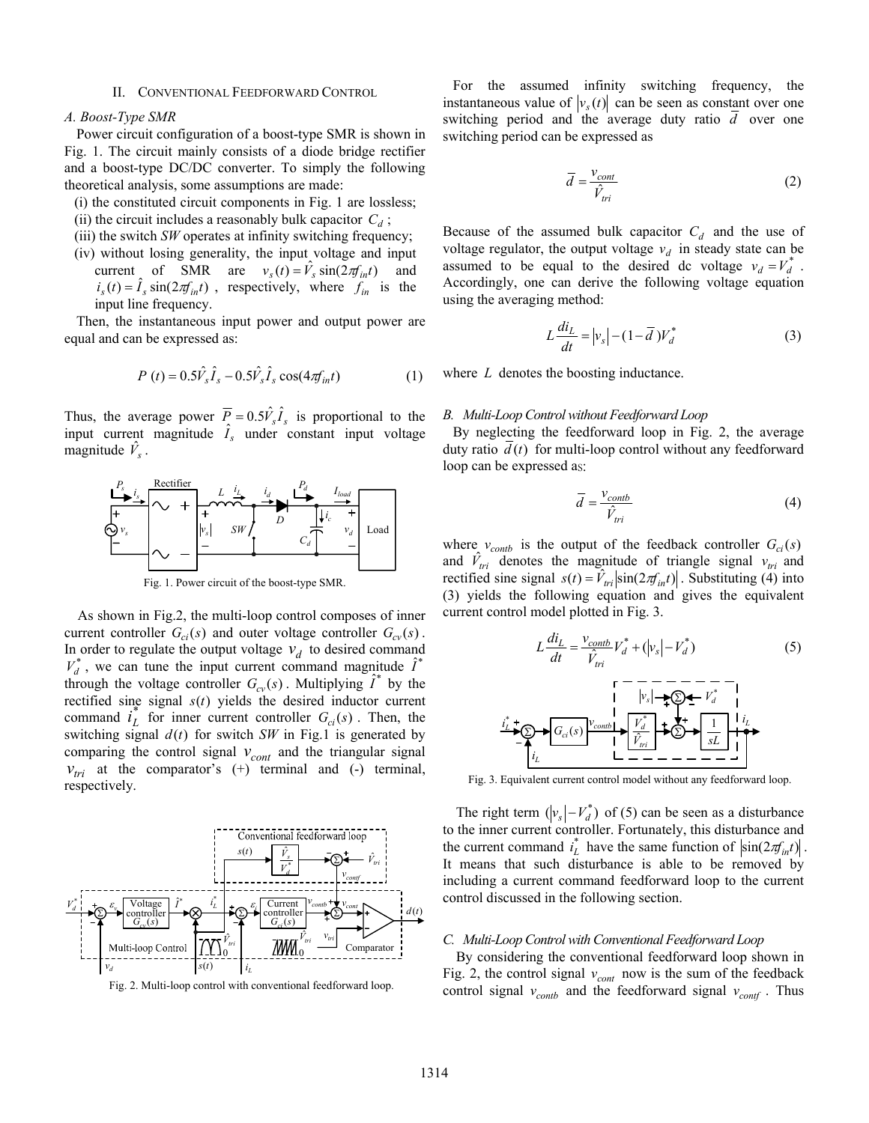#### II. CONVENTIONAL FEEDFORWARD CONTROL

#### *A. Boost-Type SMR*

Power circuit configuration of a boost-type SMR is shown in Fig. 1. The circuit mainly consists of a diode bridge rectifier and a boost-type DC/DC converter. To simply the following theoretical analysis, some assumptions are made:

- (i) the constituted circuit components in Fig. 1 are lossless;
- (ii) the circuit includes a reasonably bulk capacitor  $C_d$ ;
- (iii) the switch *SW* operates at infinity switching frequency;
- (iv) without losing generality, the input voltage and input current of SMR are  $v_s(t) = \hat{V}_s \sin(2\pi f_{int}t)$  and  $i_s(t) = \hat{I}_s \sin(2\pi f_{int}t)$ , respectively, where  $f_{in}$  is the input line frequency.

Then, the instantaneous input power and output power are equal and can be expressed as:

$$
P(t) = 0.5\hat{V}_s\hat{I}_s - 0.5\hat{V}_s\hat{I}_s\cos(4\pi f_{int})
$$
 (1)

Thus, the average power  $\overline{P} = 0.5 \hat{V_s} \hat{I_s}$  is proportional to the input current magnitude  $\hat{I}_s$  under constant input voltage magnitude  $\hat{V}_s$ .  $\hat{V}_s$ 



Fig. 1. Power circuit of the boost-type SMR.

As shown in Fig.2, the multi-loop control composes of inner current controller  $G_{ci}(s)$  and outer voltage controller  $G_{cv}(s)$ . In order to regulate the output voltage  $v_d$  to desired command  $v_d^*$ , we can tune the input current command magnitude  $\hat{I}^*$  $V_d^*$ , we can tune the input current command magnitude  $\hat{I}^*$ through the voltage controller  $G_{cv}(s)$ . Multiplying  $\hat{I}^*$  by the rectified sine signal  $s(t)$  yields the desired inductor current command  $i_L^*$  for inner current controller  $G_{ci}(s)$ . Then, the switching signal  $d(t)$  for switch *SW* in Fig.1 is generated by comparing the control signal  $v_{cont}$  and the triangular signal  $v_{tri}$  at the comparator's (+) terminal and (-) terminal, respectively.



Fig. 2. Multi-loop control with conventional feedforward loop.

For the assumed infinity switching frequency, the instantaneous value of  $|v_s(t)|$  can be seen as constant over one switching period and the average duty ratio *d* over one switching period can be expressed as

$$
\overline{d} = \frac{v_{cont}}{\hat{V}_{tri}} \tag{2}
$$

Because of the assumed bulk capacitor  $C_d$  and the use of voltage regulator, the output voltage  $v_d$  in steady state can be assumed to be equal to the desired dc voltage  $v_d = V_d^*$ . Accordingly, one can derive the following voltage equation using the averaging method:

$$
L\frac{di_L}{dt} = |v_s| - (1 - \bar{d})V_d^*
$$
 (3)

where *L* denotes the boosting inductance.

## *B. Multi-Loop Control without Feedforward Loop*

By neglecting the feedforward loop in Fig. 2, the average duty ratio *d* (*t*) for multi-loop control without any feedforward loop can be expressed as:

$$
\overline{d} = \frac{v_{\text{contb}}}{\hat{V}_{\text{tri}}} \tag{4}
$$

where  $v_{\text{contb}}$  is the output of the feedback controller  $G_{ci}(s)$ and  $\hat{V}_{tri}$  denotes the magnitude of triangle signal  $V_{tri}$  and rectified sine signal  $s(t) = V_{tri} |\sin(2\pi t_{int}t)|$ . Substituting (4) into (3) yields the following equation and gives the equivalent current control model plotted in Fig. 3.

( ) <sup>ˆ</sup> \* \* *<sup>d</sup> <sup>s</sup> <sup>d</sup> tri <sup>L</sup> contb V v V V v dt di <sup>L</sup>* <sup>=</sup> <sup>+</sup> <sup>−</sup> (5) Σ *G* (*s*) *ci* \* *Li Li contb v sL* 1 *Li tri d V V* ˆ \* Σ *<sup>s</sup> v* Σ \* *Vd*

Fig. 3. Equivalent current control model without any feedforward loop.

The right term  $(|v_s| - V_d^*)$  of (5) can be seen as a disturbance to the inner current controller. Fortunately, this disturbance and the current command  $i_L^*$  have the same function of  $\left| \sin(2\pi f_{int}) \right|$ . It means that such disturbance is able to be removed by including a current command feedforward loop to the current control discussed in the following section.

## *C. Multi-Loop Control with Conventional Feedforward Loop*

By considering the conventional feedforward loop shown in Fig. 2, the control signal  $v_{cont}$  now is the sum of the feedback control signal  $v_{comb}$  and the feedforward signal  $v_{cont}$ . Thus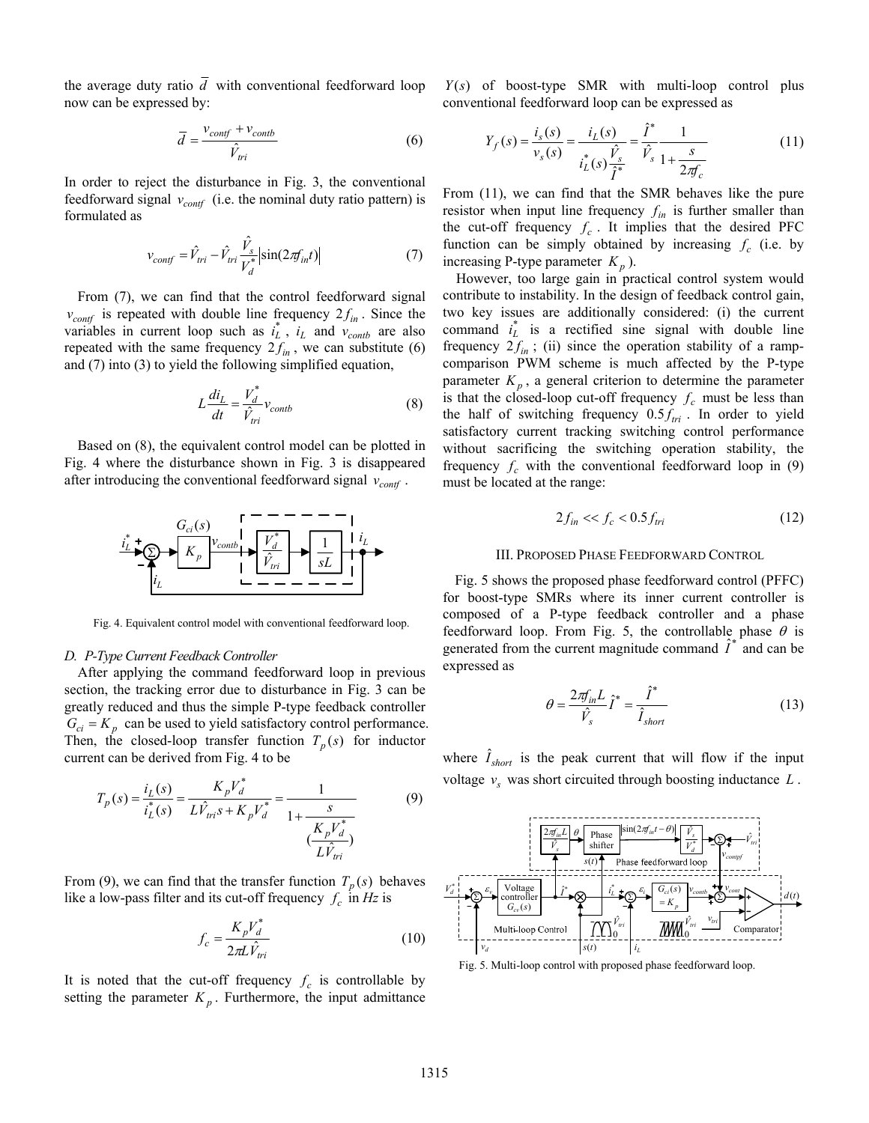the average duty ratio  $\overline{d}$  with conventional feedforward loop now can be expressed by:

$$
\overline{d} = \frac{v_{conf} + v_{contb}}{\hat{V}_{tri}} \tag{6}
$$

In order to reject the disturbance in Fig. 3, the conventional feedforward signal  $v_{\text{conf}}$  (i.e. the nominal duty ratio pattern) is formulated as

$$
v_{conf} = \hat{V}_{tri} - \hat{V}_{tri} \frac{\hat{V}_s}{V_d^*} |\sin(2\pi f_{int})|
$$
 (7)

From (7), we can find that the control feedforward signal  $v_{\text{conf}}$  is repeated with double line frequency  $2f_{in}$ . Since the variables in current loop such as  $i^*$  is and  $y_{\text{ref}}$  are also variables in current loop such as  $i_L^*$ ,  $i_L$  and  $v_{\text{contb}}$  are also repeated with the same frequency  $2f_{in}$ , we can substitute (6) and (7) into (3) to yield the following simplified equation,

$$
L\frac{di_L}{dt} = \frac{V_d^*}{\hat{V}_{tri}}v_{contb}
$$
 (8)

Based on (8), the equivalent control model can be plotted in Fig. 4 where the disturbance shown in Fig. 3 is disappeared after introducing the conventional feedforward signal  $v_{cont}$ .



Fig. 4. Equivalent control model with conventional feedforward loop.

## *D. P-Type Current Feedback Controller*

After applying the command feedforward loop in previous section, the tracking error due to disturbance in Fig. 3 can be greatly reduced and thus the simple P-type feedback controller  $G_{ci} = K_p$  can be used to yield satisfactory control performance. Then, the closed-loop transfer function  $T_p(s)$  for inductor current can be derived from Fig. 4 to be

$$
T_p(s) = \frac{i_L(s)}{i_L^*(s)} = \frac{K_p V_d^*}{L \hat{V}_{tri} s + K_p V_d^*} = \frac{1}{1 + \frac{s}{\frac{K_p V_d^*}{L \hat{V}_{tri}}}}
$$
(9)

From (9), we can find that the transfer function  $T_p(s)$  behaves like a low-pass filter and its cut-off frequency  $f_c$  in *Hz* is

$$
f_c = \frac{K_p V_d^*}{2\pi L \hat{V}_{tri}}\tag{10}
$$

It is noted that the cut-off frequency  $f_c$  is controllable by setting the parameter  $K_p$ . Furthermore, the input admittance

 $Y(s)$  of boost-type SMR with multi-loop control plus conventional feedforward loop can be expressed as

$$
Y_f(s) = \frac{i_s(s)}{v_s(s)} = \frac{i_L(s)}{i_L^*(s)\frac{\hat{V}_s}{\hat{I}^*}} = \frac{\hat{I}^*}{\hat{V}_s} \frac{1}{1 + \frac{s}{2\pi f_c}}
$$
(11)

From (11), we can find that the SMR behaves like the pure resistor when input line frequency  $f_{in}$  is further smaller than the cut-off frequency  $f_c$ . It implies that the desired PFC function can be simply obtained by increasing  $f_c$  (i.e. by increasing P-type parameter  $K_p$ ).

However, too large gain in practical control system would contribute to instability. In the design of feedback control gain, two key issues are additionally considered: (i) the current command  $i_L^*$  is a rectified sine signal with double line frequency  $2f_{in}$ ; (ii) since the operation stability of a rampcomparison PWM scheme is much affected by the P-type parameter  $K_p$ , a general criterion to determine the parameter is that the closed-loop cut-off frequency  $f_c$  must be less than the half of switching frequency  $0.5 f_{tri}$ . In order to yield satisfactory current tracking switching control performance without sacrificing the switching operation stability, the frequency  $f_c$  with the conventional feedforward loop in (9) must be located at the range:

$$
2f_{in} \ll f_c < 0.5f_{tri} \tag{12}
$$

## III. PROPOSED PHASE FEEDFORWARD CONTROL

Fig. 5 shows the proposed phase feedforward control (PFFC) for boost-type SMRs where its inner current controller is composed of a P-type feedback controller and a phase feedforward loop. From Fig. 5, the controllable phase  $\theta$  is generated from the current magnitude command  $I^*$  and can be expressed as

$$
\theta = \frac{2\pi f_{in} L}{\hat{V}_s} \hat{I}^* = \frac{\hat{I}^*}{\hat{I}_{short}}
$$
\n(13)

where  $\hat{I}_{short}$  is the peak current that will flow if the input voltage  $v_s$  was short circuited through boosting inductance  $L$ .



Fig. 5. Multi-loop control with proposed phase feedforward loop.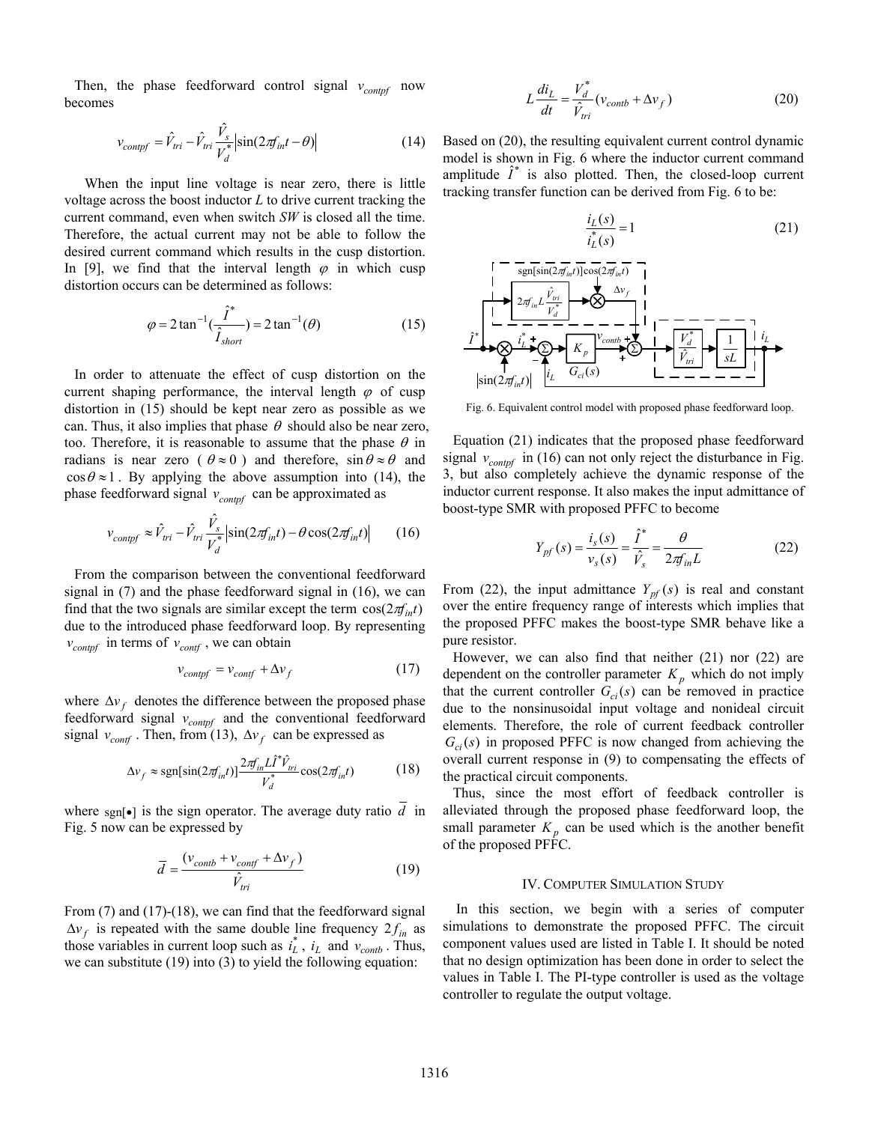Then, the phase feedforward control signal  $v_{\text{contpf}}$  now becomes

$$
v_{\text{conppf}} = \hat{V}_{\text{tri}} - \hat{V}_{\text{tri}} \frac{\hat{V}_s}{V_d^*} |\sin(2\pi f_{\text{in}}t - \theta)| \tag{14}
$$

When the input line voltage is near zero, there is little voltage across the boost inductor *L* to drive current tracking the current command, even when switch *SW* is closed all the time. Therefore, the actual current may not be able to follow the desired current command which results in the cusp distortion. In [9], we find that the interval length  $\varphi$  in which cusp distortion occurs can be determined as follows:

$$
\varphi = 2 \tan^{-1} \left( \frac{\hat{I}^*}{\hat{I}_{short}} \right) = 2 \tan^{-1} (\theta)
$$
 (15)

In order to attenuate the effect of cusp distortion on the current shaping performance, the interval length  $\varphi$  of cusp distortion in (15) should be kept near zero as possible as we can. Thus, it also implies that phase  $\theta$  should also be near zero, too. Therefore, it is reasonable to assume that the phase  $\theta$  in radians is near zero ( $\theta \approx 0$ ) and therefore,  $\sin \theta \approx \theta$  and  $\cos \theta \approx 1$ . By applying the above assumption into (14), the phase feedforward signal  $v_{control}$  can be approximated as

$$
v_{\text{configf}} \approx \hat{V}_{tri} - \hat{V}_{tri} \frac{\hat{V}_s}{V_d^*} \left| \sin(2\pi f_{\text{in}}t) - \theta \cos(2\pi f_{\text{in}}t) \right| \tag{16}
$$

From the comparison between the conventional feedforward signal in (7) and the phase feedforward signal in (16), we can find that the two signals are similar except the term  $cos(2\pi f_{int})$ due to the introduced phase feedforward loop. By representing  $v_{\text{contpf}}$  in terms of  $v_{\text{contf}}$ , we can obtain

$$
v_{\text{config}} = v_{\text{conf}} + \Delta v_f \tag{17}
$$

where  $\Delta v_f$  denotes the difference between the proposed phase feedforward signal  $v_{\text{contpf}}$  and the conventional feedforward signal  $v_{conf}$ . Then, from (13),  $\Delta v_f$  can be expressed as

$$
\Delta v_f \approx \text{sgn}[\sin(2\pi f_{int})] \frac{2\pi f_{in} L \hat{\imath}^* \hat{V}_{tri}}{V_d^*} \cos(2\pi f_{int}) \tag{18}
$$

where sgn[ $\bullet$ ] is the sign operator. The average duty ratio  $\overline{d}$  in Fig. 5 now can be expressed by

$$
\overline{d} = \frac{(v_{\text{contb}} + v_{\text{conf}} + \Delta v_f)}{\hat{V}_{\text{tri}}} \tag{19}
$$

From (7) and (17)-(18), we can find that the feedforward signal  $\Delta v_f$  is repeated with the same double line frequency  $2f_{in}$  as *f*  $\Delta v_f$  as the contribution in autrent leap such as  $f^*$  *i* and  $y$ . those variables in current loop such as  $i_L^*$ ,  $i_L$  and  $v_{\text{contb}}$ . Thus, we can substitute (19) into (3) to yield the following equation:

$$
L\frac{di_L}{dt} = \frac{V_d^*}{\hat{V}_{tri}}(v_{contb} + \Delta v_f)
$$
 (20)

Based on (20), the resulting equivalent current control dynamic model is shown in Fig. 6 where the inductor current command amplitude  $\hat{I}^*$  is also plotted. Then, the closed-loop current tracking transfer function can be derived from Fig. 6 to be:



Fig. 6. Equivalent control model with proposed phase feedforward loop.

Equation (21) indicates that the proposed phase feedforward signal  $v_{\text{contpf}}$  in (16) can not only reject the disturbance in Fig. 3, but also completely achieve the dynamic response of the inductor current response. It also makes the input admittance of boost-type SMR with proposed PFFC to become

$$
Y_{pf}(s) = \frac{i_s(s)}{v_s(s)} = \frac{\hat{I}^*}{\hat{V}_s} = \frac{\theta}{2\pi f_{in}L}
$$
 (22)

From (22), the input admittance  $Y_{pf}(s)$  is real and constant over the entire frequency range of interests which implies that the proposed PFFC makes the boost-type SMR behave like a pure resistor.

However, we can also find that neither (21) nor (22) are dependent on the controller parameter  $K_p$  which do not imply that the current controller  $G_{ci}(s)$  can be removed in practice due to the nonsinusoidal input voltage and nonideal circuit elements. Therefore, the role of current feedback controller  $G_{ci}(s)$  in proposed PFFC is now changed from achieving the overall current response in (9) to compensating the effects of the practical circuit components.

Thus, since the most effort of feedback controller is alleviated through the proposed phase feedforward loop, the small parameter  $K_p$  can be used which is the another benefit of the proposed PFFC.

## IV. COMPUTER SIMULATION STUDY

In this section, we begin with a series of computer simulations to demonstrate the proposed PFFC. The circuit component values used are listed in Table I. It should be noted that no design optimization has been done in order to select the values in Table I. The PI-type controller is used as the voltage controller to regulate the output voltage.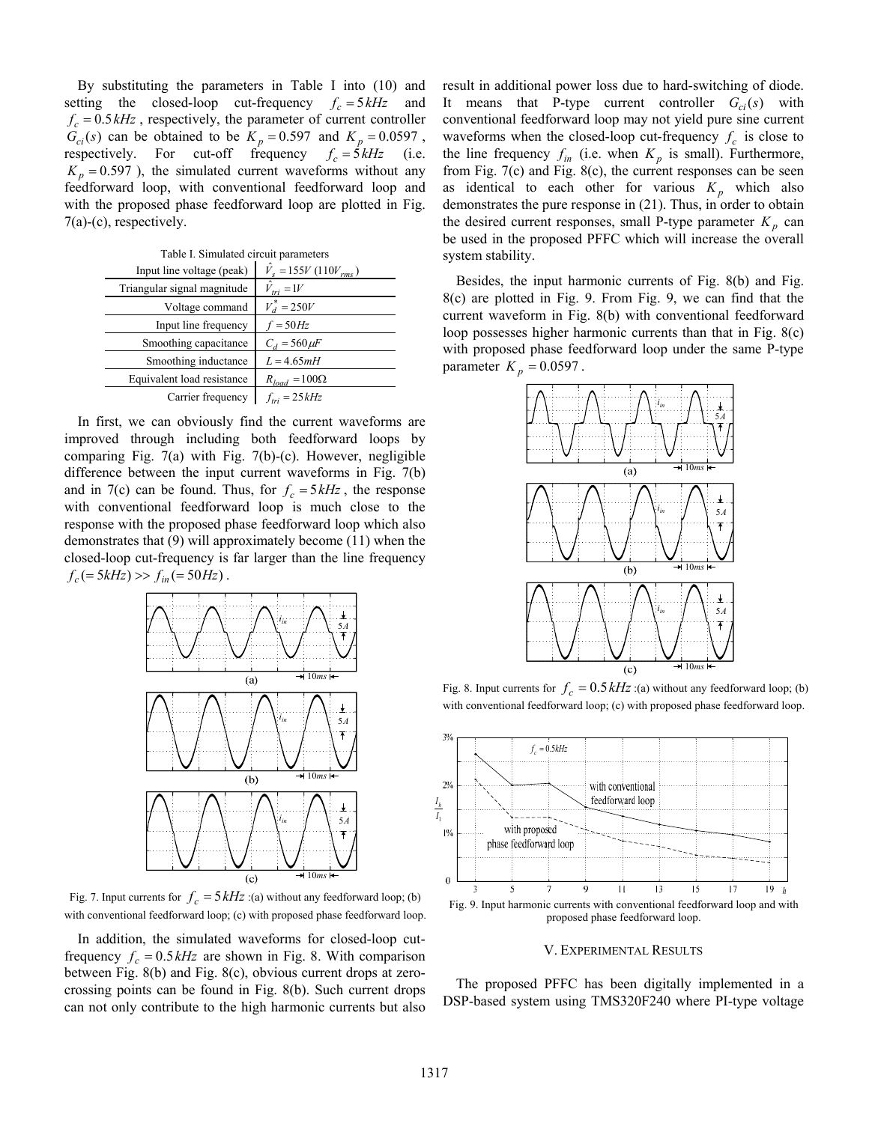By substituting the parameters in Table I into (10) and setting the closed-loop cut-frequency  $f_c = 5 kHz$  and  $f_c = 0.5 \, kHz$ , respectively, the parameter of current controller  $G_{ci}(s)$  can be obtained to be  $K_p = 0.597$  and  $K_p = 0.0597$ , respectively. For cut-off frequency  $f_c = 5kHz$  (i.e.  $K_p = 0.597$ ), the simulated current waveforms without any feedforward loop, with conventional feedforward loop and with the proposed phase feedforward loop are plotted in Fig. 7(a)-(c), respectively.

Table I. Simulated circuit parameters

| I abic I. Shinulated Chedit parameters |                                   |
|----------------------------------------|-----------------------------------|
| Input line voltage (peak)              | $\hat{V}_{s} = 155V (110V_{rms})$ |
| Triangular signal magnitude            | $V_{tri} = 1V$                    |
| Voltage command                        | $V_d^* = 250V$                    |
| Input line frequency                   | $f = 50Hz$                        |
| Smoothing capacitance                  | $C_d = 560 \mu F$                 |
| Smoothing inductance                   | $L = 4.65mH$                      |
| Equivalent load resistance             | $R_{load} = 100\Omega$            |
| Carrier frequency                      | $f_{tri} = 25kHz$                 |
|                                        |                                   |

In first, we can obviously find the current waveforms are improved through including both feedforward loops by comparing Fig. 7(a) with Fig. 7(b)-(c). However, negligible difference between the input current waveforms in Fig. 7(b) and in 7(c) can be found. Thus, for  $f_c = 5kHz$ , the response with conventional feedforward loop is much close to the response with the proposed phase feedforward loop which also demonstrates that (9) will approximately become (11) when the closed-loop cut-frequency is far larger than the line frequency  $f_c (= 5kHz) >> f_{in} (= 50Hz)$ .



Fig. 7. Input currents for  $f_c = 5 kHz$  :(a) without any feedforward loop; (b) with conventional feedforward loop; (c) with proposed phase feedforward loop.

In addition, the simulated waveforms for closed-loop cutfrequency  $f_c = 0.5 \, kHz$  are shown in Fig. 8. With comparison between Fig. 8(b) and Fig. 8(c), obvious current drops at zerocrossing points can be found in Fig. 8(b). Such current drops can not only contribute to the high harmonic currents but also

result in additional power loss due to hard-switching of diode. It means that P-type current controller  $G_{ci}(s)$  with conventional feedforward loop may not yield pure sine current waveforms when the closed-loop cut-frequency  $f_c$  is close to the line frequency  $f_{in}$  (i.e. when  $K_p$  is small). Furthermore, from Fig. 7(c) and Fig. 8(c), the current responses can be seen as identical to each other for various  $K_p$  which also demonstrates the pure response in (21). Thus, in order to obtain the desired current responses, small P-type parameter  $K_p$  can be used in the proposed PFFC which will increase the overall system stability.

Besides, the input harmonic currents of Fig. 8(b) and Fig. 8(c) are plotted in Fig. 9. From Fig. 9, we can find that the current waveform in Fig. 8(b) with conventional feedforward loop possesses higher harmonic currents than that in Fig. 8(c) with proposed phase feedforward loop under the same P-type parameter  $K_p = 0.0597$ .



Fig. 8. Input currents for  $f_c = 0.5 \, kHz$  :(a) without any feedforward loop; (b) with conventional feedforward loop; (c) with proposed phase feedforward loop.



V. EXPERIMENTAL RESULTS

The proposed PFFC has been digitally implemented in a DSP-based system using TMS320F240 where PI-type voltage